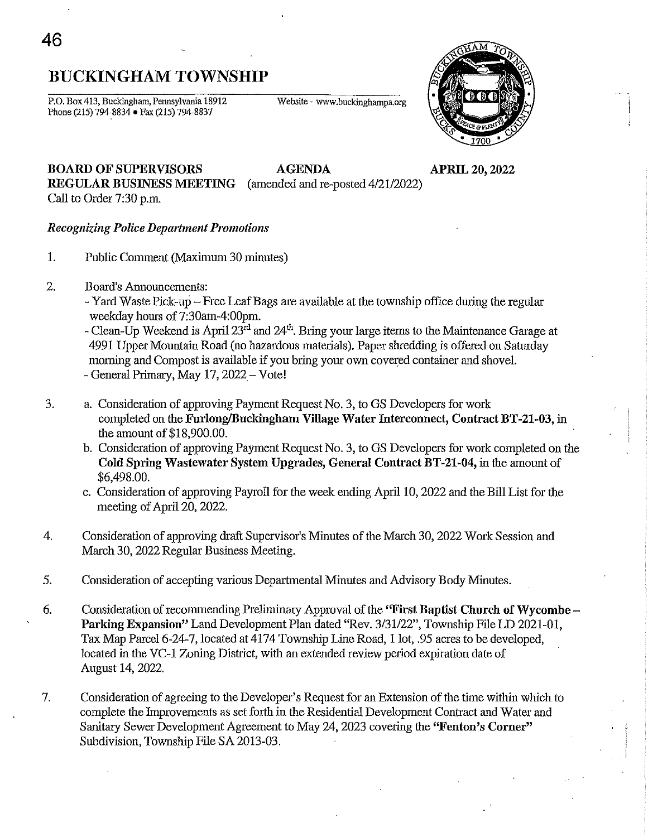# BUCKINGHAM TOWNSHIP

P.O. Box 413, Buckingham, Pennsylvania 18912 Phone (215) 794-8834 • Fax (215) 794-8837

Website - www.buckinghampa.org



# BOARD OF SUPERVISORS AGENDA APRIL 20, 2022 REGULAR BUSINESS MEETING (amended and re-posted *4/2112022)*

Call to Order 7:30 p.m.

## *Recognizing Police Department Promotions*

- 1. Public Comment (Maximum 30 minutes)
- 2. Board's Annouucements:
	- Yard Waste Pick-up Free Leaf Bags are available at the township office during the regular weekday hours of 7:30am-4:00pm.
	- Clean-Up Weekend is April  $23<sup>rd</sup>$  and  $24<sup>th</sup>$ . Bring your large items to the Maintenance Garage at 4991 Upper Mountain Road (no hazardous materials). Paper shredding is offered on Saturday morning and Compost is available if you bring your own covered container and shoveL - General Primary, May 17, 2022- Vote!
- 3. a. Consideration of approving Payment Request No.3, to GS Developers for work completed on the Furlong/Buckingham Village Water Interconnect, Contract BT-21-03, in the amount of \$18,900.00.
	- b. Consideration of approving Payment Request No.3, to GS Developers for work completed on the Cold Spring Wastewater System Upgrades, General Contract BT-21-04, in the amount of \$6,498.00.
	- c. Consideration of approving Payroll for the week ending April 10, 2022 and the Bill List for the meeting of April 20, 2022.
- 4. Consideration of approving draft Supervisor's Minutes of the March 30, 2022 Work Session and March 30, 2022 Regular Business Meeting.
- 5. Consideration of accepting various Departmental Minutes and Advisory Body Minutes.
- 6. Consideration of recommending PreIiminary Approval of the "First Baptist Church of Wycombe Parking Expansion" Land Development Plan dated "Rev. 3/31/22", Township File LD 2021-01, Tax Map Parcel 6-24-7, located at 4174 Township Line Road, 1 lot, .95 acres to be developed, located in the VC-1 Zoning District, with an extended review period expiration date of August 14, 2022.
- 7. Consideration of agreeing to the Developer's Request for an Extension of the time within which to complete the Improvements as set forth in the Residential Development Contract and Water and Sanitary Sewer Development Agreement to May 24, 2023 covering the "Fenton's Corner" Subdivision, Township File SA 2013-03.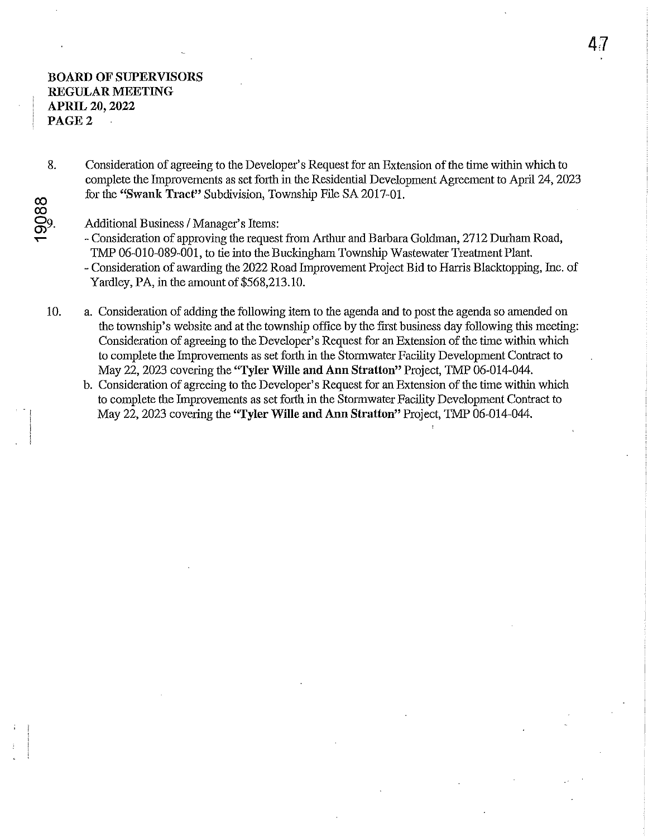## BOARD OF SUPERVISORS REGULAR MEETING APRIL 20, 2022 PAGE 2

co

 $\overline{\phantom{0}}$ 

co 8. Consideration of agreeing to the Developer's Request for an Extension of the time within which to complete the Improvements as set forth in the Residential Development Agreement to April 24, 2023 for the "Swank Tract" Subdivision, Township File SA 2017-01.

Additional Business / Manager's Items:

- Consideration of approving the request from Arthur and Barbara Goldman, 2712 Durham Road, TMP 06-010-089-001, to tie into the Buckingham Township Wastewater Treatment Plant.
- Consideration of awarding the 2022 Road Improvement Project Bid to Hanis Blacktopping, Inc. of Yardley, PA, in the amount of \$568,213.10.
- 10. a. Consideration of adding the following item to the agenda and to post the agenda so amended on the township's website and at the township office by the first business day following this meeting: Consideration of agreeing to the Developer's Request for an Extension of the time within which to complete the Improvements as set forth in the Stormwater Facility Development Contract to May 22,2023 covering the "TyIer Wille and Ann Stratton" Project, TMP 06-014-044.
	- b. Consideration of agreeing to the Developer's Request for an Extension of the time within which to complete the Improvements as set forth in the Stormwater Facility Development Contract to May 22, 2023 covering the "TyIer Wille and Ann Stratton" Project, TMP 06-014-044.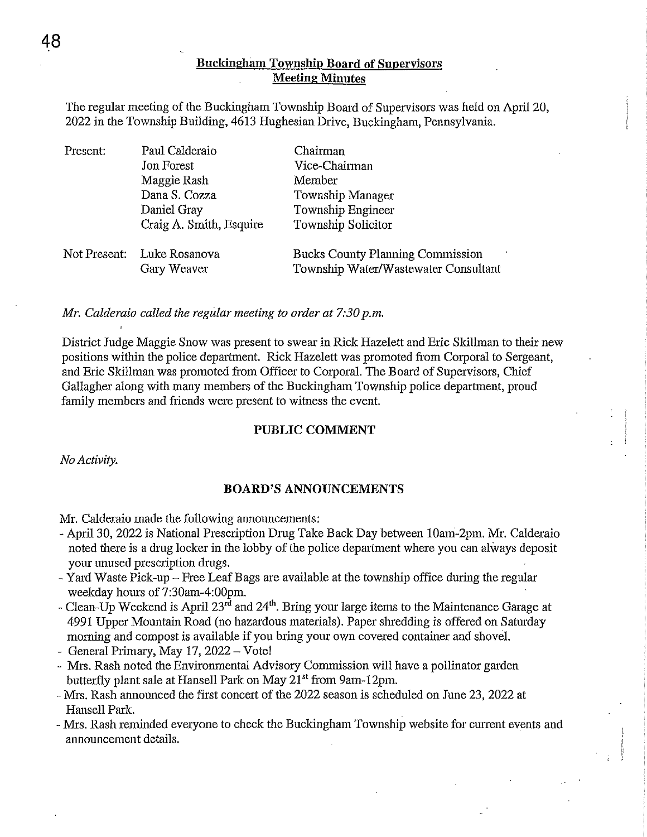## **Buckiugham Township Board of Supervisors Meeting Minutes**

The regular meeting of the Buckingham Township Board of Supervisors was held on April 20, 2022 in the Township Building, 4613 Hughesian Drive, Buckingham, Pennsylvania.

| Present: | Paul Calderaio             | Chairman                                |
|----------|----------------------------|-----------------------------------------|
|          | Jon Forest                 | Vice-Chairman                           |
|          | Maggie Rash                | Member                                  |
|          | Dana S. Cozza              | Township Manager                        |
|          | Daniel Gray                | Township Engineer                       |
|          | Craig A. Smith, Esquire    | Township Solicitor                      |
|          | Not Present: Luke Rosanova | <b>Bucks County Planning Commission</b> |
|          | Gary Weaver                | Township Water/Wastewater Consultant    |

*Mr. Calderaio called the regular meeting to order at 7:30 p.m.* 

District Judge Maggie Snow was present to swear in Rick Hazelett and Eric Skillman to their new positions within the police department. Rick Hazelett was promoted from Corporal to Sergeant, and Eric Skillman was promoted from Officer to Corporal. The Board of Supervisors, Chief Gallagher along with many members of the Buckingham Township police department, proud family members and friends were present to witness the event.

### **PUBLIC COMMENT**

*No Activity.* 

### **BOARD'S ANNOUNCEMENTS**

Mr. Calderaio made the following announcements:

- April 30, 2022 is National Prescription Drug Take Back Day between lOam-2pm. Mr. Calderaio noted there is a drug locker in the lobby of the police department where you can always deposit your unused prescription drugs.
- Yard Waste Pick-up Free Leaf Bags are available at the township office during the regular weekday hours of 7:30am-4:00pm.
- Clean-Up Weekend is April  $23^{r\bar{d}}$  and  $24^{th}$ . Bring your large items to the Maintenance Garage at 4991 Upper Mountain Road (no hazardous materials). Paper shredding is offered on Saturday moming and compost is available if you bring your own covered container and shove!.
- General Primary, May  $17$ ,  $2022 -$  Vote!
- Mrs. Rash noted the Environmental Advisory Commission will have a pollinator garden butterfly plant sale at Hansell Park on May 21<sup>st</sup> from 9am-12pm.
- Mrs. Rash announced the first concert of the 2022 season is scheduled on June 23, 2022 at Hansell Park.
- Mrs. Rash reminded everyone to check the Buckingham Township website for current events and announcement details.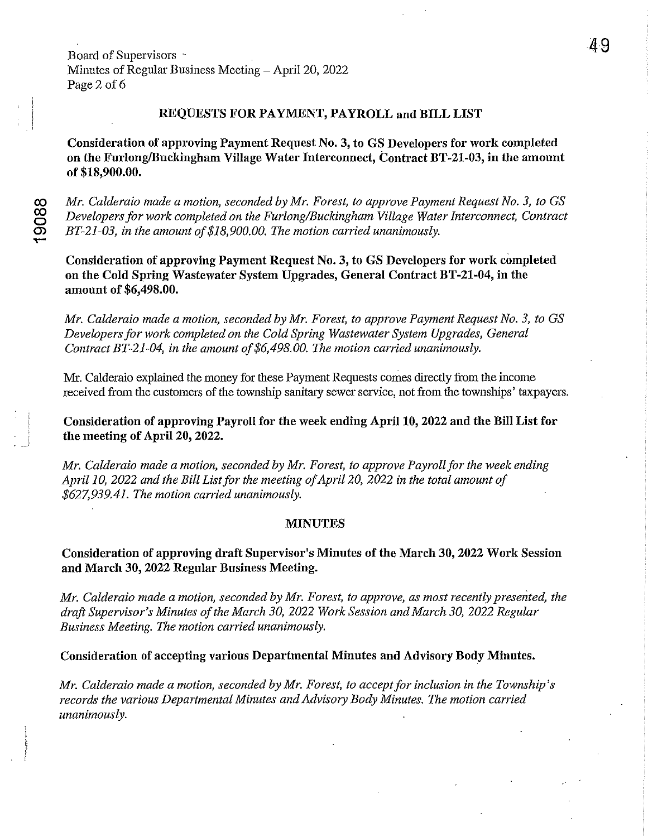Board of Supervisors Minutes of Regular Business Meeting - April 20, 2022 Page 2 of 6

## REQUESTS FOR PAYMENT, PAYROLL and BILL LIST

Consideration of approving Payment Request No.3, to GS Developers for work completed on the Furlong/Buckingham Village Water Interconnect, Contract BT-21-03, in the amount of \$18,900.00.

*Mr. Calderaio made a motion, seconded by Mr. Forest, to approve Payment Request No.3, to* GS *Developers for work completed on the Furlong/Buckingham Village Water Interconnect, Contract BT-21-03, in the amount of\$18,900.00. The motion carried unanimously.* 

Consideration of approving Payment Request No.3, to GS Developers for work completed on the Cold Spring Wastewater System Upgrades, General Contract BT-21-04, in the amount of \$6,498.00.

*Mr. Calderaio made a motion, seconded by Mr. Forest, to approve Payment Request No.3, to* GS *Developers for work completed on the Cold Spring Wastewater System Upgrades, General Contract BT-21-04, in the amount of\$6,498.00. The motion carried unanimously.* 

Mr. Calderaio explained the money for these Payment Requests comes directly from the income received from the customers of the township sanitary sewer service, not from the townships' taxpayers.

Consideration of approving Payroll for the week ending April 10,2022 and the Bill List for the meeting of April 20, 2022.

*Mr. Calderaio made a motion, seconded by Mr. Forest, to approve Payroll for the week ending*  April 10, 2022 and the Bill List for the meeting of April 20, 2022 in the total amount of *\$627,939.41. The motion carried unanimously.* 

#### MINUTES

Consideration of approving draft Supervisor's Minutes of the March 30, 2022 Work Session and March 30, 2022 Regnlar Business Meeting.

*Mr. Calderaio made a motion, seconded by Mr. Forest, to approve, as most recently presented, the draft Supervisor's Minutes of the March 30, 2022 Work Session and March 30,2022 Regular Business Meeting. The motion carried unanimously.* 

Consideration of accepting various Departmental Minutes and Advisory Body Minutes.

*Mr. Calderaio made a motion, seconded by Mr. Forest, to accept for inclusion in the Township'S records the various Departmental Minutes and Advisory Body Minutes. The motion carried unanimously.*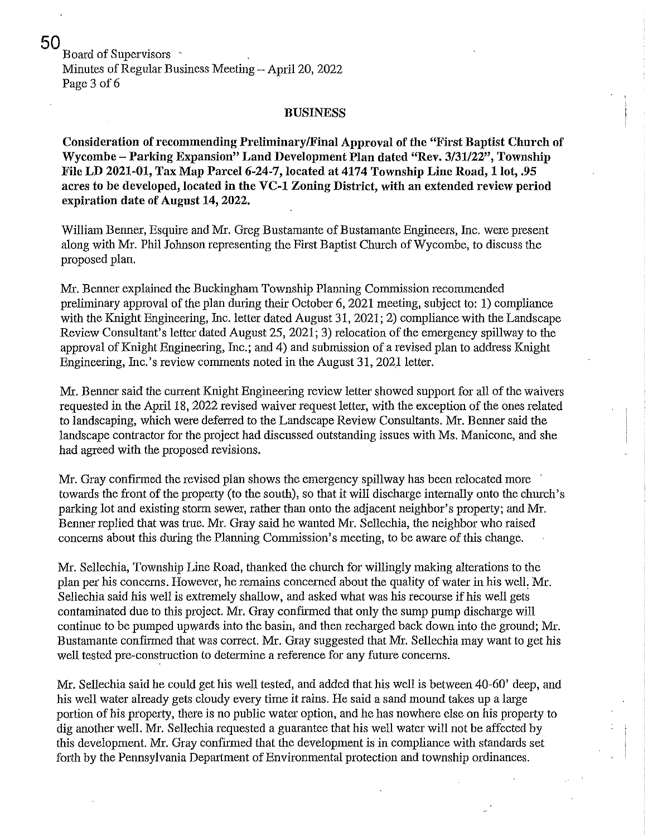Board of Supervisors Minutes of Regular Business Meeting  $-$  April 20, 2022 Page 3 of 6

#### **BUSINESS**

Consideration of recommending PreliminarylFinal Approval of the "First Baptist Church of Wycombe - Parking Expansion" Land Development Plan dated "Rev. *3/31/22",* Township File LD 2021-01, Tax Map Parcel 6-24-7, located at 4174 Township Line Road, 1 lot, .95 acres to be developed, located in the VC-1 Zoning District, with an extended review period expiration date of Angust 14, 2022.

William Benner, Esquire and Mr. Greg Bustamante of Bustamante Engineers, Inc. were present along with Mr. Phil Johnson representing the First Baptist Church of Wycombe, to discuss the proposed plan.

Mr. Benner explained the Buckingham Township Planning Commission recommended preliminary approval of the plan during their October 6, 2021 meeting, subject to: 1) compliance with the Knight Engineering, Inc. letter dated August 31, 2021; 2) compliance with the Landscape Review Consultant's letter dated August 25, 2021; 3) relocation of the emergency spillway to the approval of Knight Engineering, Inc.; and 4) and submission of a revised plan to address Knight Engineering, Inc.'s review comments noted in the August 31, 2021 letter.

Mr. Benner said the current Knight Engineering review letter showed support for all of the waivers requested in the April 18, 2022 revised waiver request letter, with the exception of the ones related to landscaping, which were deferred to the Landscape Review Consultants. Mr. Benner said the landscape contractor for the project had discussed outstanding issues with Ms. Manicone, and she had agreed with the proposed revisions.

Mr. Gray confirmed the revised plan shows the emergency spillway has been relocated more towards the front of the property (to the south), so that it will discharge internally onto the church's parking lot and existing storm sewer, rather than onto the adjacent neighbor's property; and Mr. Benner replied that was true. Mr. Gray said he wanted Mr. Sellechia, the neighbor who raised concerns about this during the Planning Commission's meeting, to be aware of this change.

Mr. Sellechia, Township Line Road, thanked the church for willingly making alterations to the plan per his concerns. However, he remains concerned about the quality of water in his welL Mr. Sellechia said his well is extremely shallow, and asked what was his recourse if his well gets contaminated due to this project. Mr. Gray confirmed that only the sump pump discharge will continue to be pumped upwards into the basin, and then recharged back down into the ground; Mr. Bustamante confirmed that was correct. Mr. Gray suggested that Mr. Sellechia may want to get his well tested pre-construction to determine a reference for any future concerns.

Mr. Sellechia said he could get his well tested, and added that his well is between 40-60' deep, and his well water already gets cloudy every time it rains. He said a sand mound takes up a large portion of his property, there is no public water option, and he has nowhere else on his property to dig another well. Mr. Sellechia requested a guarantee that his well water will not be affected by this development. Mr. Gray confirmed that the development is in compliance with standards set forth by the Pennsylvania Department of Environmental protection and township ordinances.

50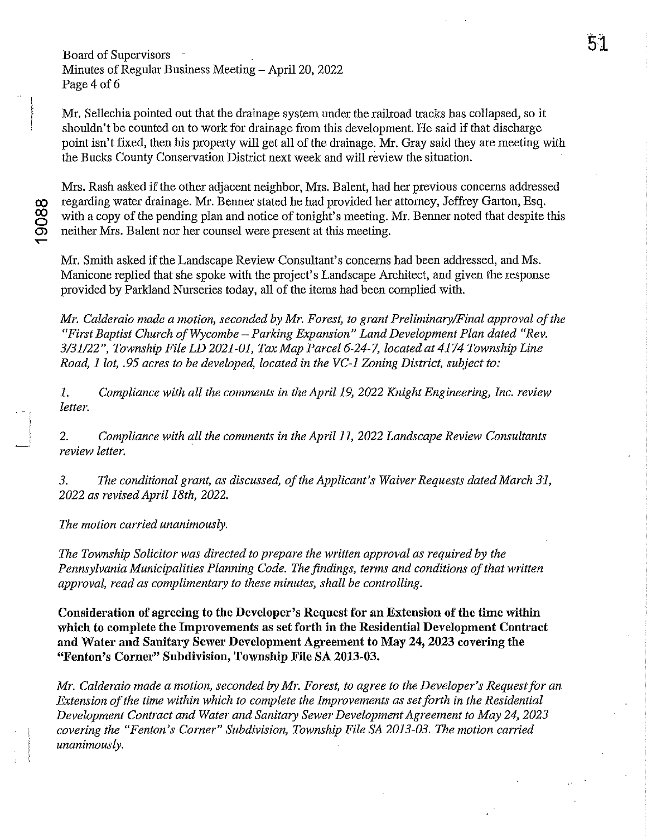Board of Supervisors - Minutes of Regular Business Meeting - April 20, 2022 Page 4 of 6

Mr. Sellechia pointed out that the drainage system under the railroad tracks has collapsed, so it shouldn't be counted on to work for drainage from this development. He said if that discharge point isn't fixed, then his property will get all of the drainage. Mr. Gray said they are meeting with the Bucks County Conservation District next week and will review the situation.

Mrs. Rash asked if the other adjacent neighbor, Mrs. Balent, had her previous concerns addressed co regarding water drainage. Mr. Benner stated he had provided her attorney, Jeffrey Garton, Esq.<br>with a copy of the pending plan and notice of tonight's meeting. Mr. Benner noted that despite<br>co neither Mrs. Balent nor he with a copy of the pending plan and notice of tonight's meeting. Mr. Benner noted that despite this neither Mrs. Balent nor her counsel were present at this meeting.

Mr. Smith asked if the Landscape Review Consultant's concerns had been addressed, and Ms. Manicone replied that she spoke with the project's Landscape Architect, and given the response provided by Parkland Nurseries today, all of the items had been complied with.

*Mr. Calderaio made a motion, seconded by Mr. Forest, to grant Preliminary/Final approval of the "First Baptist Church of Wycombe* - *Parking Expansion" Land Development Plan dated "Rev. 3/31122", Township File LD 2021-01, Tax Map Parcel* 6-24-7, *located at* 4174 *Township Line Road,* 1 *lot,* .95 *acres to be developed, located in the VC-l Zoning District, subject to:* 

*1. Compliance with all the comments in the April* 19, *2022 Knight Engineering, Inc. review letter.* 

*2. Compliance with all the comments in the April* 11, *2022 Landscape Review Consultants review letter.* 

*3. The conditional grant, as discussed, of the Applicant's Waiver Requests dated March 31, 2022 as revised April 18th, 2022.* 

*The motion carried unanimously.* 

*The Township Solicitor was directed to prepare the written approval as required by the*  Pennsylvania Municipalities Planning Code. The findings, terms and conditions of that written *approval, read as complimentary to these minutes, shall be controlling.* 

Consideration of agreeing to the Developer's Request for an Extension of the time within which to complete the Improvements as set forth in the Residential Development Contract and Water and Sanitary Sewer Development Agreement to May 24, 2023 covering the "Fenton's Corner" Subdivision, Township File SA 2013-03.

*Mr. Calderaio made a motion, seconded by Mr. Forest, to agree to the Developer'S Requestfor an Extension of the time within which to complete the Improvements as set forth in the Residential Development Contract and Water and Sanitary Sewer Development Agreement to May* 24, *2023 covering the "Fenton's Corner" Subdivision, Township File SA 2013-03. The motion carried unanimously.*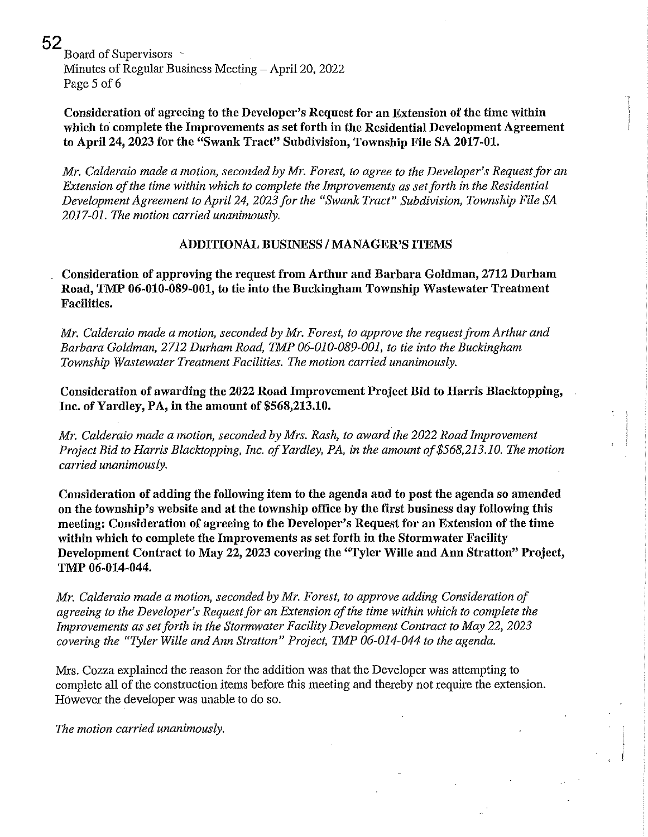52 Board of Supervisors Minutes of Regular Business Meeting – April 20, 2022 Page 5 of 6

Consideration of agreeing to the Developer's Request for an Extension of the time within which to complete the Improvements as set forth in the Residential Development Agreement to April 24, 2023 for the "Swank Tract" Subdivision, Township File SA 2017-01.

*Mr. Calderaio made a motion, seconded by Mr. Forest, to agree to the Developer's Requestfor an Extension of the time within which to complete the Improvements as set forth in the Residential Development Agreement to April* 24, *2023 for the "Swank Tract" Subdivision, Township File SA 2017-01. The motion carried unanimously.* 

## ADDITIONAL BUSINESS / MANAGER'S ITEMS

Consideration of approving the request from Arthur and Barbara Goldman, 2712 Durham Road, TMP 06-010-089-001, to tie into the Buckingham Township Wastewater Treatment Facilities.

*Mr. Calderaio made a motion, seconded by Mr. Forest, to approve the request from Arthur and Barbara Goldman,* 2712 *Durham Road, TMP 06-010-089-001, to tie into the Buckingham Township Wastewater Treatment Facilities. The motion carried unanimously.* 

Consideration of awarding the 2022 Road Improvement Project Bid to Harris Blacktopping, Inc. of Yardley, PA, in the amount of \$568,213.10.

*Mr. Calderaio made a motion, seconded by Mrs. Rash, to award the 2022 Road Improvement Project Bid to Harris Blacktopping, Inc. of Yardley, PA, in the amount of\$568,213.10. The motion carried unanimously.* 

Consideration of adding the following item to the agenda and to post the agenda so amended on the township's website and at the township office by the first business day following this meeting: Consideration of agreeing to the Developer's Request for an Extension of the time within which to complete the Improvements as set forth in the Stormwater Facility Development Contract to May 22, 2023 covering the "Tyler Wille and Ann Stratton" Project, TMP 06-014-044.

*Mr. Calderaio made a motion, seconded by Mr. Forest, to approve adding Consideration of agreeing to the Developer's Request for an Extension of the time within which to complete the Improvements as setforth in the Stormwater Facility Development Contract to May 22,2023 covering the "Tyler Wille and Ann Stratton" Project, TMP 06-014-044 to the agenda.* 

Mrs. Cozza explained the reason for the addition was that the Developer was attempting to complete all of the construction items before this meeting and thereby not require the extension. However the developer was unable to do so.

*The motion carried unanimously.*